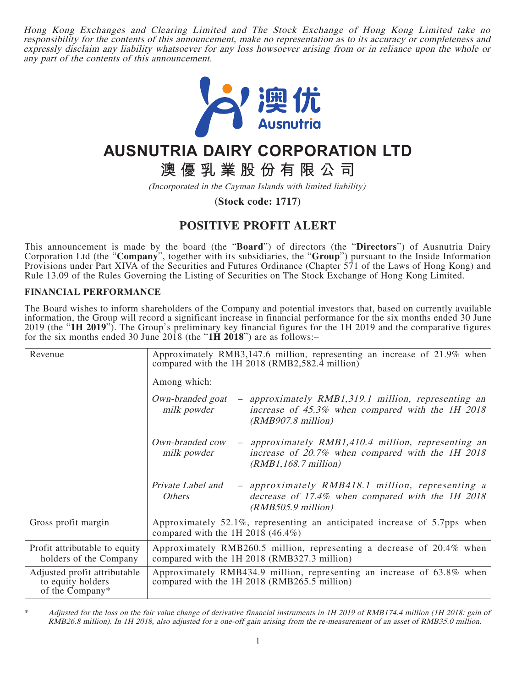Hong Kong Exchanges and Clearing Limited and The Stock Exchange of Hong Kong Limited take no responsibility for the contents of this announcement, make no representation as to its accuracy or completeness and expressly disclaim any liability whatsoever for any loss howsoever arising from or in reliance upon the whole or any part of the contents of this announcement.



## **AUSNUTRIA DAIRY CORPORATION LTD**

**澳優乳業股份有限公司**

(Incorporated in the Cayman Islands with limited liability)

**(Stock code: 1717)**

## **POSITIVE PROFIT ALERT**

This announcement is made by the board (the "**Board**") of directors (the "**Directors**") of Ausnutria Dairy Corporation Ltd (the "**Company**", together with its subsidiaries, the "**Group**") pursuant to the Inside Information Provisions under Part XIVA of the Securities and Futures Ordinance (Chapter 571 of the Laws of Hong Kong) and Rule 13.09 of the Rules Governing the Listing of Securities on The Stock Exchange of Hong Kong Limited.

## **FINANCIAL PERFORMANCE**

The Board wishes to inform shareholders of the Company and potential investors that, based on currently available information, the Group will record a significant increase in financial performance for the six months ended 30 June 2019 (the "**1H 2019**"). The Group's preliminary key financial figures for the 1H 2019 and the comparative figures for the six months ended 30 June 2018 (the "**1H 2018**") are as follows:–

| Revenue                                                              | Approximately RMB3,147.6 million, representing an increase of 21.9% when<br>compared with the 1H 2018 (RMB2,582.4 million)<br>Among which:                                |
|----------------------------------------------------------------------|---------------------------------------------------------------------------------------------------------------------------------------------------------------------------|
|                                                                      | - approximately RMB1,319.1 million, representing an<br>Own-branded goat<br>increase of 45.3% when compared with the 1H 2018<br>milk powder<br>$(RMB907.8\text{ million})$ |
|                                                                      | Own-branded cow<br>- approximately RMB1,410.4 million, representing an<br>increase of 20.7% when compared with the 1H 2018<br>milk powder<br>(RMB1, 168.7 million)        |
|                                                                      | Private Label and<br>- approximately RMB418.1 million, representing a<br>decrease of 17.4% when compared with the 1H 2018<br><i>Others</i><br>$(RMB505.9$ million)        |
| Gross profit margin                                                  | Approximately 52.1%, representing an anticipated increase of 5.7pps when<br>compared with the 1H 2018 $(46.4\%)$                                                          |
| Profit attributable to equity<br>holders of the Company              | Approximately RMB260.5 million, representing a decrease of 20.4% when<br>compared with the 1H 2018 (RMB327.3 million)                                                     |
| Adjusted profit attributable<br>to equity holders<br>of the Company* | Approximately RMB434.9 million, representing an increase of 63.8% when<br>compared with the 1H 2018 (RMB265.5 million)                                                    |

Adjusted for the loss on the fair value change of derivative financial instruments in 1H 2019 of RMB174.4 million (1H 2018: gain of RMB26.8 million). In 1H 2018, also adjusted for a one-off gain arising from the re-measurement of an asset of RMB35.0 million.